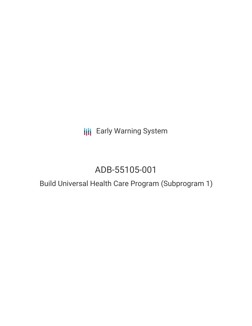**III** Early Warning System

# ADB-55105-001

# Build Universal Health Care Program (Subprogram 1)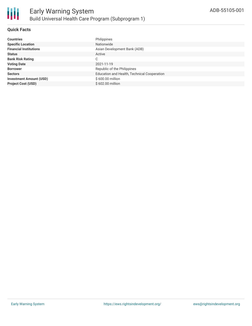

## **Quick Facts**

| Philippines                                 |
|---------------------------------------------|
| Nationwide                                  |
| Asian Development Bank (ADB)                |
| Active                                      |
| С                                           |
| 2021-11-19                                  |
| Republic of the Philippines                 |
| Education and Health, Technical Cooperation |
| \$600.00 million                            |
| \$602.00 million                            |
|                                             |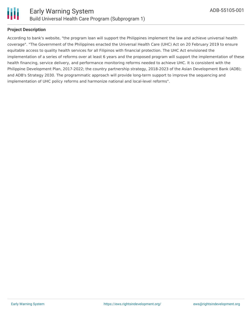

# **Project Description**

According to bank's website, "the program loan will support the Philippines implement the law and achieve universal health coverage". "The Government of the Philippines enacted the Universal Health Care (UHC) Act on 20 February 2019 to ensure equitable access to quality health services for all Filipinos with financial protection. The UHC Act envisioned the implementation of a series of reforms over at least 6 years and the proposed program will support the implementation of these health financing, service delivery, and performance monitoring reforms needed to achieve UHC. It is consistent with the Philippine Development Plan, 2017-2022; the country partnership strategy, 2018-2023 of the Asian Development Bank (ADB); and ADB's Strategy 2030. The programmatic approach will provide long-term support to improve the sequencing and implementation of UHC policy reforms and harmonize national and local-level reforms".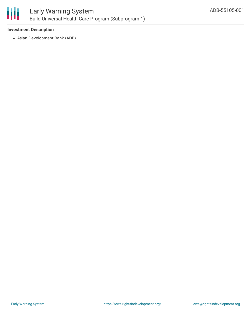

## **Investment Description**

Asian Development Bank (ADB)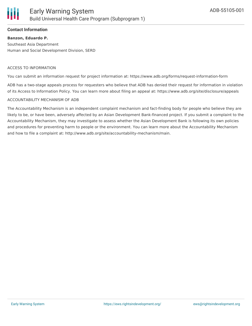

### **Contact Information**

## **Banzon, Eduardo P.**

Southeast Asia Department Human and Social Development Division, SERD

#### ACCESS TO INFORMATION

You can submit an information request for project information at: https://www.adb.org/forms/request-information-form

ADB has a two-stage appeals process for requesters who believe that ADB has denied their request for information in violation of its Access to Information Policy. You can learn more about filing an appeal at: https://www.adb.org/site/disclosure/appeals

#### ACCOUNTABILITY MECHANISM OF ADB

The Accountability Mechanism is an independent complaint mechanism and fact-finding body for people who believe they are likely to be, or have been, adversely affected by an Asian Development Bank-financed project. If you submit a complaint to the Accountability Mechanism, they may investigate to assess whether the Asian Development Bank is following its own policies and procedures for preventing harm to people or the environment. You can learn more about the Accountability Mechanism and how to file a complaint at: http://www.adb.org/site/accountability-mechanism/main.